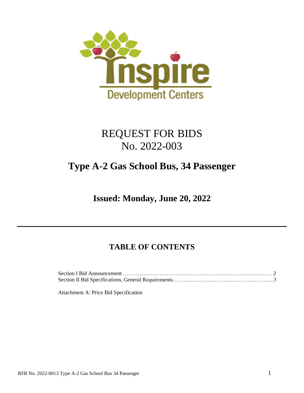

# REQUEST FOR BIDS No. 2022-003

# **Type A-2 Gas School Bus, 34 Passenger**

**Issued: Monday, June 20, 2022**

# **TABLE OF CONTENTS**

Attachment A: Price Bid Specification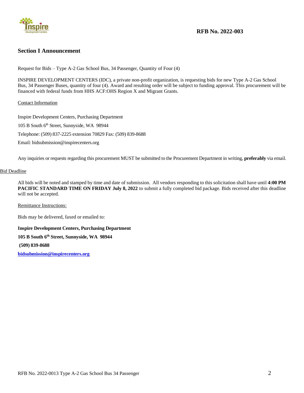

# **RFB No. 2022-003**

# **Section I Announcement**

Request for Bids – Type A-2 Gas School Bus, 34 Passenger, Quantity of Four (4)

INSPIRE DEVELOPMENT CENTERS (IDC), a private non-profit organization, is requesting bids for new Type A-2 Gas School Bus, 34 Passenger Buses, quantity of four (4). Award and resulting order will be subject to funding approval. This procurement will be financed with federal funds from HHS ACF:OHS Region X and Migrant Grants.

# Contact Information

Inspire Development Centers, Purchasing Department 105 B South 6<sup>th</sup> Street, Sunnyside, WA 98944 Telephone: (509) 837-2225 extension 70829 Fax: (509) 839-8688 Email: bidsubmission@inspirecenters.org

Any inquiries or requests regarding this procurement MUST be submitted to the Procurement Department in writing, **preferably** via email.

## Bid Deadline

All bids will be noted and stamped by time and date of submission. All vendors responding to this solicitation shall have until **4:00 PM PACIFIC STANDARD TIME ON FRIDAY July 8, 2022** to submit a fully completed bid package. Bids received after this deadline will not be accepted.

Remittance Instructions:

Bids may be delivered, faxed or emailed to:

**Inspire Development Centers, Purchasing Department** 

#### **105 B South 6th Street, Sunnyside, WA 98944**

**(509) 839-8688** 

**[bidsubmission@inspirecenters.org](mailto:bidsubmission@inspire-centers.org)**